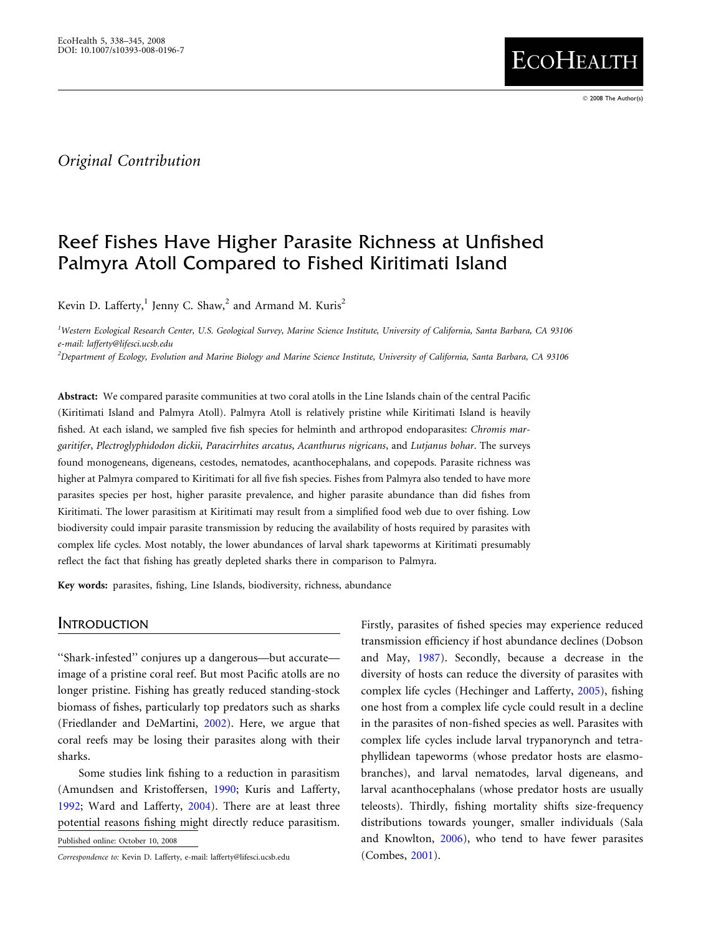**ECOHEALTH** 

# Original Contribution

# Reef Fishes Have Higher Parasite Richness at Unfished Palmyra Atoll Compared to Fished Kiritimati Island

Kevin D. Lafferty,<sup>1</sup> Jenny C. Shaw,<sup>2</sup> and Armand M. Kuris<sup>2</sup>

<sup>1</sup>Western Ecological Research Center, U.S. Geological Survey, Marine Science Institute, University of California, Santa Barbara, CA 93106 e-mail: lafferty@lifesci.ucsb.edu

2 Department of Ecology, Evolution and Marine Biology and Marine Science Institute, University of California, Santa Barbara, CA 93106

Abstract: We compared parasite communities at two coral atolls in the Line Islands chain of the central Pacific (Kiritimati Island and Palmyra Atoll). Palmyra Atoll is relatively pristine while Kiritimati Island is heavily fished. At each island, we sampled five fish species for helminth and arthropod endoparasites: Chromis margaritifer, Plectroglyphidodon dickii, Paracirrhites arcatus, Acanthurus nigricans, and Lutjanus bohar. The surveys found monogeneans, digeneans, cestodes, nematodes, acanthocephalans, and copepods. Parasite richness was higher at Palmyra compared to Kiritimati for all five fish species. Fishes from Palmyra also tended to have more parasites species per host, higher parasite prevalence, and higher parasite abundance than did fishes from Kiritimati. The lower parasitism at Kiritimati may result from a simplified food web due to over fishing. Low biodiversity could impair parasite transmission by reducing the availability of hosts required by parasites with complex life cycles. Most notably, the lower abundances of larval shark tapeworms at Kiritimati presumably reflect the fact that fishing has greatly depleted sharks there in comparison to Palmyra.

Key words: parasites, fishing, Line Islands, biodiversity, richness, abundance

#### **INTRODUCTION**

''Shark-infested'' conjures up a dangerous—but accurate image of a pristine coral reef. But most Pacific atolls are no longer pristine. Fishing has greatly reduced standing-stock biomass of fishes, particularly top predators such as sharks (Friedlander and DeMartini, [2002](#page-6-0)). Here, we argue that coral reefs may be losing their parasites along with their sharks.

Some studies link fishing to a reduction in parasitism (Amundsen and Kristoffersen, [1990](#page-6-0); Kuris and Lafferty, [1992](#page-7-0); Ward and Lafferty, [2004\)](#page-7-0). There are at least three potential reasons fishing might directly reduce parasitism.

Published online: October 10, 2008

Firstly, parasites of fished species may experience reduced transmission efficiency if host abundance declines (Dobson and May, [1987](#page-6-0)). Secondly, because a decrease in the diversity of hosts can reduce the diversity of parasites with complex life cycles (Hechinger and Lafferty, [2005\)](#page-6-0), fishing one host from a complex life cycle could result in a decline in the parasites of non-fished species as well. Parasites with complex life cycles include larval trypanorynch and tetraphyllidean tapeworms (whose predator hosts are elasmobranches), and larval nematodes, larval digeneans, and larval acanthocephalans (whose predator hosts are usually teleosts). Thirdly, fishing mortality shifts size-frequency distributions towards younger, smaller individuals (Sala and Knowlton, [2006](#page-7-0)), who tend to have fewer parasites (Combes, [2001](#page-6-0)).

Correspondence to: Kevin D. Lafferty, e-mail: lafferty@lifesci.ucsb.edu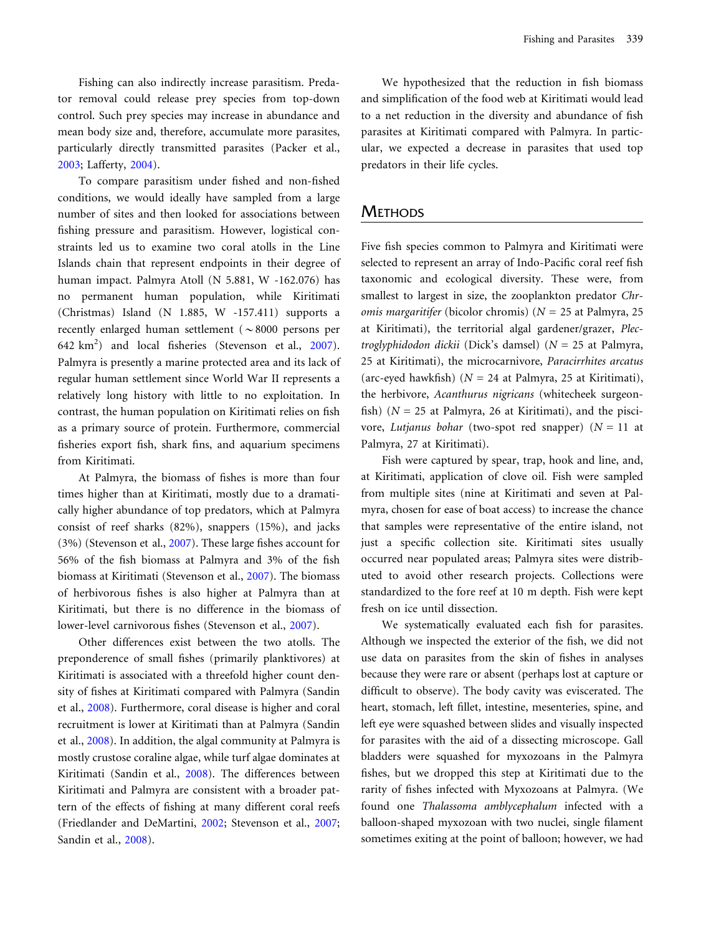Fishing can also indirectly increase parasitism. Predator removal could release prey species from top-down control. Such prey species may increase in abundance and mean body size and, therefore, accumulate more parasites, particularly directly transmitted parasites (Packer et al., [2003](#page-7-0); Lafferty, [2004](#page-7-0)).

To compare parasitism under fished and non-fished conditions, we would ideally have sampled from a large number of sites and then looked for associations between fishing pressure and parasitism. However, logistical constraints led us to examine two coral atolls in the Line Islands chain that represent endpoints in their degree of human impact. Palmyra Atoll (N 5.881, W -162.076) has no permanent human population, while Kiritimati (Christmas) Island (N 1.885, W -157.411) supports a recently enlarged human settlement (*\**8000 persons per 642 km<sup>2</sup>) and local fisheries (Stevenson et al., [2007\)](#page-7-0). Palmyra is presently a marine protected area and its lack of regular human settlement since World War II represents a relatively long history with little to no exploitation. In contrast, the human population on Kiritimati relies on fish as a primary source of protein. Furthermore, commercial fisheries export fish, shark fins, and aquarium specimens from Kiritimati.

At Palmyra, the biomass of fishes is more than four times higher than at Kiritimati, mostly due to a dramatically higher abundance of top predators, which at Palmyra consist of reef sharks (82%), snappers (15%), and jacks (3%) (Stevenson et al., [2007](#page-7-0)). These large fishes account for 56% of the fish biomass at Palmyra and 3% of the fish biomass at Kiritimati (Stevenson et al., [2007](#page-7-0)). The biomass of herbivorous fishes is also higher at Palmyra than at Kiritimati, but there is no difference in the biomass of lower-level carnivorous fishes (Stevenson et al., [2007\)](#page-7-0).

Other differences exist between the two atolls. The preponderence of small fishes (primarily planktivores) at Kiritimati is associated with a threefold higher count density of fishes at Kiritimati compared with Palmyra (Sandin et al., [2008](#page-7-0)). Furthermore, coral disease is higher and coral recruitment is lower at Kiritimati than at Palmyra (Sandin et al., [2008\)](#page-7-0). In addition, the algal community at Palmyra is mostly crustose coraline algae, while turf algae dominates at Kiritimati (Sandin et al., [2008](#page-7-0)). The differences between Kiritimati and Palmyra are consistent with a broader pattern of the effects of fishing at many different coral reefs (Friedlander and DeMartini, [2002;](#page-6-0) Stevenson et al., [2007;](#page-7-0) Sandin et al., [2008\)](#page-7-0).

We hypothesized that the reduction in fish biomass and simplification of the food web at Kiritimati would lead to a net reduction in the diversity and abundance of fish parasites at Kiritimati compared with Palmyra. In particular, we expected a decrease in parasites that used top predators in their life cycles.

### **METHODS**

Five fish species common to Palmyra and Kiritimati were selected to represent an array of Indo-Pacific coral reef fish taxonomic and ecological diversity. These were, from smallest to largest in size, the zooplankton predator Chromis margaritifer (bicolor chromis) ( $N = 25$  at Palmyra, 25 at Kiritimati), the territorial algal gardener/grazer, Plectroglyphidodon dickii (Dick's damsel) ( $N = 25$  at Palmyra, 25 at Kiritimati), the microcarnivore, Paracirrhites arcatus (arc-eyed hawkfish) ( $N = 24$  at Palmyra, 25 at Kiritimati), the herbivore, Acanthurus nigricans (whitecheek surgeonfish)  $(N = 25$  at Palmyra, 26 at Kiritimati), and the piscivore, Lutjanus bohar (two-spot red snapper) ( $N = 11$  at Palmyra, 27 at Kiritimati).

Fish were captured by spear, trap, hook and line, and, at Kiritimati, application of clove oil. Fish were sampled from multiple sites (nine at Kiritimati and seven at Palmyra, chosen for ease of boat access) to increase the chance that samples were representative of the entire island, not just a specific collection site. Kiritimati sites usually occurred near populated areas; Palmyra sites were distributed to avoid other research projects. Collections were standardized to the fore reef at 10 m depth. Fish were kept fresh on ice until dissection.

We systematically evaluated each fish for parasites. Although we inspected the exterior of the fish, we did not use data on parasites from the skin of fishes in analyses because they were rare or absent (perhaps lost at capture or difficult to observe). The body cavity was eviscerated. The heart, stomach, left fillet, intestine, mesenteries, spine, and left eye were squashed between slides and visually inspected for parasites with the aid of a dissecting microscope. Gall bladders were squashed for myxozoans in the Palmyra fishes, but we dropped this step at Kiritimati due to the rarity of fishes infected with Myxozoans at Palmyra. (We found one Thalassoma amblycephalum infected with a balloon-shaped myxozoan with two nuclei, single filament sometimes exiting at the point of balloon; however, we had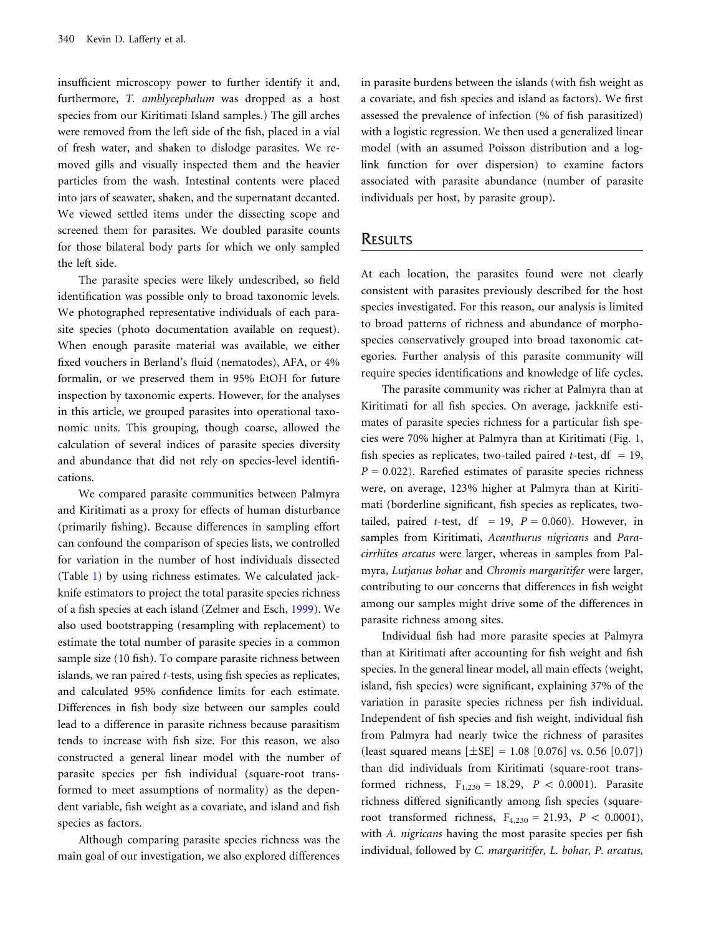insufficient microscopy power to further identify it and, furthermore, T. amblycephalum was dropped as a host species from our Kiritimati Island samples.) The gill arches were removed from the left side of the fish, placed in a vial of fresh water, and shaken to dislodge parasites. We removed gills and visually inspected them and the heavier particles from the wash. Intestinal contents were placed into jars of seawater, shaken, and the supernatant decanted. We viewed settled items under the dissecting scope and screened them for parasites. We doubled parasite counts for those bilateral body parts for which we only sampled the left side.

The parasite species were likely undescribed, so field identification was possible only to broad taxonomic levels. We photographed representative individuals of each parasite species (photo documentation available on request). When enough parasite material was available, we either fixed vouchers in Berland's fluid (nematodes), AFA, or 4% formalin, or we preserved them in 95% EtOH for future inspection by taxonomic experts. However, for the analyses in this article, we grouped parasites into operational taxonomic units. This grouping, though coarse, allowed the calculation of several indices of parasite species diversity and abundance that did not rely on species-level identifications.

We compared parasite communities between Palmyra and Kiritimati as a proxy for effects of human disturbance (primarily fishing). Because differences in sampling effort can confound the comparison of species lists, we controlled for variation in the number of host individuals dissected (Table [1\)](#page-3-0) by using richness estimates. We calculated jackknife estimators to project the total parasite species richness of a fish species at each island (Zelmer and Esch, [1999\)](#page-7-0). We also used bootstrapping (resampling with replacement) to estimate the total number of parasite species in a common sample size (10 fish). To compare parasite richness between islands, we ran paired t-tests, using fish species as replicates, and calculated 95% confidence limits for each estimate. Differences in fish body size between our samples could lead to a difference in parasite richness because parasitism tends to increase with fish size. For this reason, we also constructed a general linear model with the number of parasite species per fish individual (square-root transformed to meet assumptions of normality) as the dependent variable, fish weight as a covariate, and island and fish species as factors.

Although comparing parasite species richness was the main goal of our investigation, we also explored differences

in parasite burdens between the islands (with fish weight as a covariate, and fish species and island as factors). We first assessed the prevalence of infection (% of fish parasitized) with a logistic regression. We then used a generalized linear model (with an assumed Poisson distribution and a loglink function for over dispersion) to examine factors associated with parasite abundance (number of parasite individuals per host, by parasite group).

#### **RESULTS**

At each location, the parasites found were not clearly consistent with parasites previously described for the host species investigated. For this reason, our analysis is limited to broad patterns of richness and abundance of morphospecies conservatively grouped into broad taxonomic categories. Further analysis of this parasite community will require species identifications and knowledge of life cycles.

The parasite community was richer at Palmyra than at Kiritimati for all fish species. On average, jackknife estimates of parasite species richness for a particular fish species were 70% higher at Palmyra than at Kiritimati (Fig. [1,](#page-4-0) fish species as replicates, two-tailed paired *t*-test,  $df = 19$ ,  $P = 0.022$ ). Rarefied estimates of parasite species richness were, on average, 123% higher at Palmyra than at Kiritimati (borderline significant, fish species as replicates, twotailed, paired *t*-test, df = 19,  $P = 0.060$ ). However, in samples from Kiritimati, Acanthurus nigricans and Paracirrhites arcatus were larger, whereas in samples from Palmyra, Lutjanus bohar and Chromis margaritifer were larger, contributing to our concerns that differences in fish weight among our samples might drive some of the differences in parasite richness among sites.

Individual fish had more parasite species at Palmyra than at Kiritimati after accounting for fish weight and fish species. In the general linear model, all main effects (weight, island, fish species) were significant, explaining 37% of the variation in parasite species richness per fish individual. Independent of fish species and fish weight, individual fish from Palmyra had nearly twice the richness of parasites (least squared means  $[\pm SE] = 1.08$  [0.076] vs. 0.56 [0.07]) than did individuals from Kiritimati (square-root transformed richness,  $F_{1,230} = 18.29$ ,  $P < 0.0001$ ). Parasite richness differed significantly among fish species (squareroot transformed richness,  $F_{4,230} = 21.93$ ,  $P < 0.0001$ ), with A. nigricans having the most parasite species per fish individual, followed by C. margaritifer, L. bohar, P. arcatus,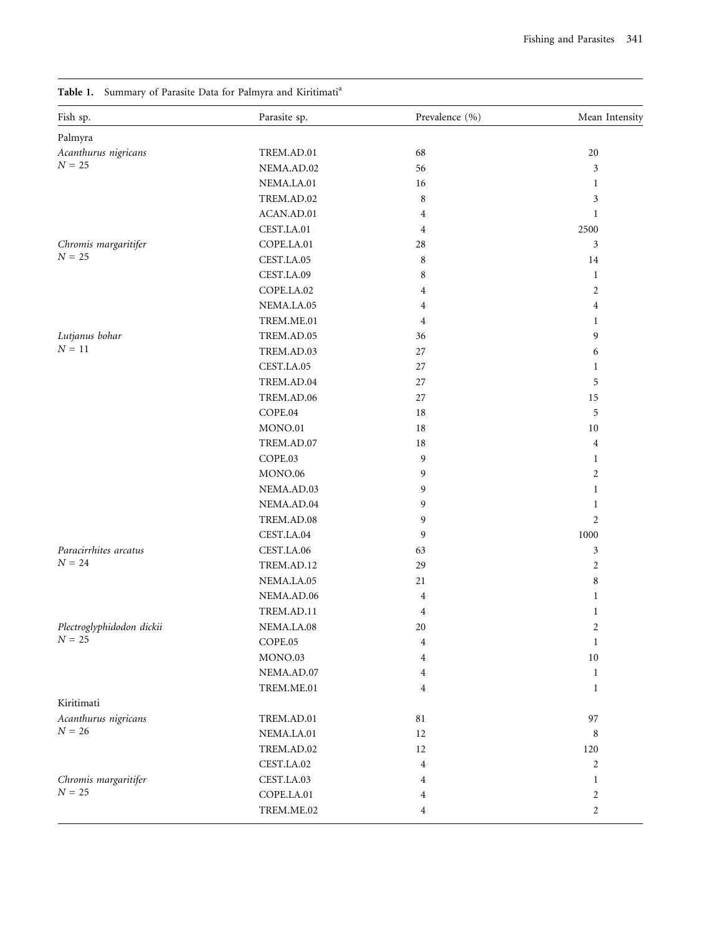<span id="page-3-0"></span>

|  |  | Table 1. Summary of Parasite Data for Palmyra and Kiritimati <sup>a</sup> |
|--|--|---------------------------------------------------------------------------|
|  |  |                                                                           |

| Fish sp.                  | Parasite sp. | Prevalence (%) | Mean Intensity |
|---------------------------|--------------|----------------|----------------|
| Palmyra                   |              |                |                |
| Acanthurus nigricans      | TREM.AD.01   | 68             | 20             |
| ${\cal N}=25$             | NEMA.AD.02   | 56             | 3              |
|                           | NEMA.LA.01   | 16             | $\mathbf{1}$   |
|                           | TREM.AD.02   | 8              | 3              |
|                           | ACAN.AD.01   | 4              | $\mathbf{1}$   |
|                           | CEST.LA.01   | 4              | 2500           |
| Chromis margaritifer      | COPE.LA.01   | 28             | 3              |
| $N = 25$                  | CEST.LA.05   | 8              | 14             |
|                           | CEST.LA.09   | 8              | $\mathbf{1}$   |
|                           | COPE.LA.02   | 4              | $\overline{c}$ |
|                           | NEMA.LA.05   | 4              | 4              |
|                           | TREM.ME.01   | 4              | $\mathbf{1}$   |
| Lutjanus bohar            | TREM.AD.05   | 36             | 9              |
| $N = 11$                  | TREM.AD.03   | 27             | 6              |
|                           | CEST.LA.05   | 27             | $\mathbf{1}$   |
|                           | TREM.AD.04   | 27             | 5              |
|                           | TREM.AD.06   | 27             | 15             |
|                           | COPE.04      | 18             | 5              |
|                           | MONO.01      | 18             | 10             |
|                           | TREM.AD.07   | $18\,$         | 4              |
|                           | COPE.03      | 9              | $\mathbf{1}$   |
|                           | MONO.06      | 9              | $\overline{2}$ |
|                           | NEMA.AD.03   | 9              | 1              |
|                           | NEMA.AD.04   | 9              | $\mathbf{1}$   |
|                           | TREM.AD.08   | 9              | $\overline{2}$ |
|                           | CEST.LA.04   | 9              | 1000           |
| Paracirrhites arcatus     | CEST.LA.06   | 63             | 3              |
| $N = 24$                  | TREM.AD.12   | 29             | 2              |
|                           | NEMA.LA.05   | 21             | 8              |
|                           | NEMA.AD.06   | 4              | 1              |
|                           | TREM.AD.11   | 4              | 1              |
| Plectroglyphidodon dickii | NEMA.LA.08   | 20             | 2              |
| $N = 25$                  | COPE.05      | 4              | 1              |
|                           | MONO.03      | 4              | $10\,$         |
|                           | NEMA.AD.07   | 4              | $\mathbf{1}$   |
|                           | TREM.ME.01   | 4              | $\mathbf{1}$   |
| Kiritimati                |              |                |                |
| Acanthurus nigricans      | TREM.AD.01   | $81\,$         | 97             |
| $N = 26$                  | NEMA.LA.01   | 12             | 8              |
|                           | TREM.AD.02   | 12             | $120\,$        |
|                           | CEST.LA.02   | 4              | $\overline{2}$ |
| Chromis margaritifer      | CEST.LA.03   | 4              | $\mathbf{1}$   |
| ${\cal N}=25$             | COPE.LA.01   | 4              | $\overline{c}$ |
|                           | TREM.ME.02   | 4              | $\overline{c}$ |
|                           |              |                |                |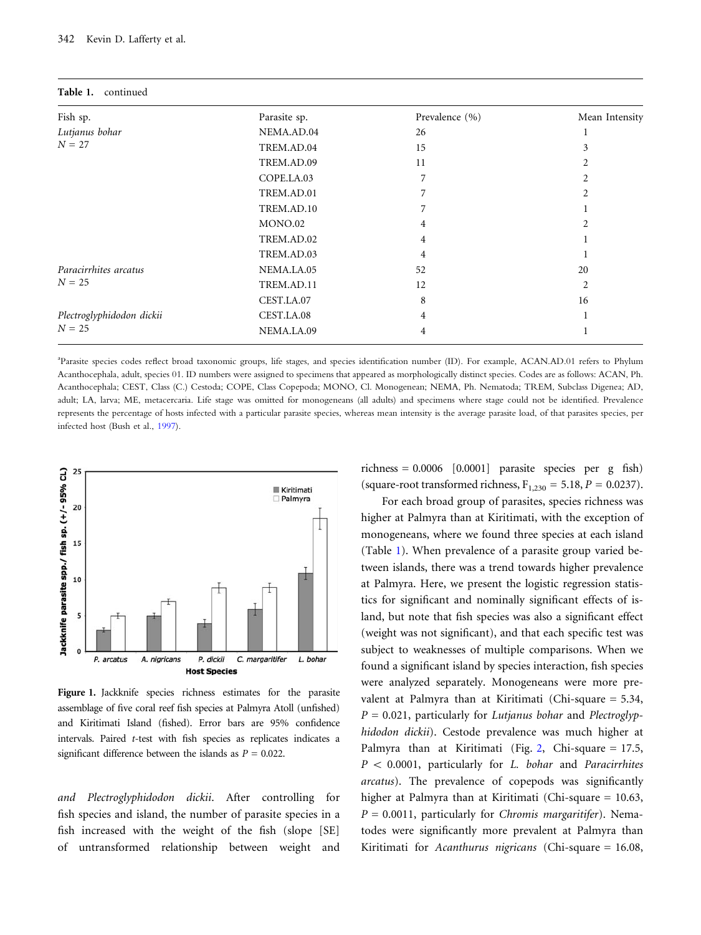| Fish sp.                  | Parasite sp. | Prevalence (%) | Mean Intensity |
|---------------------------|--------------|----------------|----------------|
| Lutjanus bohar            | NEMA.AD.04   | 26             |                |
| $N = 27$                  | TREM.AD.04   | 15             | 3              |
|                           | TREM.AD.09   | 11             |                |
|                           | COPE.LA.03   | 7              | 2              |
|                           | TREM.AD.01   | 7              | 2              |
|                           | TREM.AD.10   | 7              |                |
|                           | MONO.02      | 4              | 2              |
|                           | TREM.AD.02   | 4              |                |
|                           | TREM.AD.03   | 4              |                |
| Paracirrhites arcatus     | NEMA.LA.05   | 52             | 20             |
| $N = 25$                  | TREM.AD.11   | 12             | 2              |
|                           | CEST.LA.07   | 8              | 16             |
| Plectroglyphidodon dickii | CEST.LA.08   | 4              |                |
| $N = 25$                  | NEMA.LA.09   | 4              |                |

#### <span id="page-4-0"></span>Table 1. continued

a Parasite species codes reflect broad taxonomic groups, life stages, and species identification number (ID). For example, ACAN.AD.01 refers to Phylum Acanthocephala, adult, species 01. ID numbers were assigned to specimens that appeared as morphologically distinct species. Codes are as follows: ACAN, Ph. Acanthocephala; CEST, Class (C.) Cestoda; COPE, Class Copepoda; MONO, Cl. Monogenean; NEMA, Ph. Nematoda; TREM, Subclass Digenea; AD, adult; LA, larva; ME, metacercaria. Life stage was omitted for monogeneans (all adults) and specimens where stage could not be identified. Prevalence represents the percentage of hosts infected with a particular parasite species, whereas mean intensity is the average parasite load, of that parasites species, per infected host (Bush et al., [1997\)](#page-6-0).



Figure 1. Jackknife species richness estimates for the parasite assemblage of five coral reef fish species at Palmyra Atoll (unfished) and Kiritimati Island (fished). Error bars are 95% confidence intervals. Paired t-test with fish species as replicates indicates a significant difference between the islands as  $P = 0.022$ .

and Plectroglyphidodon dickii. After controlling for fish species and island, the number of parasite species in a fish increased with the weight of the fish (slope [SE] of untransformed relationship between weight and richness =  $0.0006$   $[0.0001]$  parasite species per g fish) (square-root transformed richness,  $F_{1,230} = 5.18$ ,  $P = 0.0237$ ).

For each broad group of parasites, species richness was higher at Palmyra than at Kiritimati, with the exception of monogeneans, where we found three species at each island (Table [1\)](#page-3-0). When prevalence of a parasite group varied between islands, there was a trend towards higher prevalence at Palmyra. Here, we present the logistic regression statistics for significant and nominally significant effects of island, but note that fish species was also a significant effect (weight was not significant), and that each specific test was subject to weaknesses of multiple comparisons. When we found a significant island by species interaction, fish species were analyzed separately. Monogeneans were more prevalent at Palmyra than at Kiritimati (Chi-square = 5.34,  $P = 0.021$ , particularly for Lutjanus bohar and Plectroglyphidodon dickii). Cestode prevalence was much higher at Palmyra than at Kiritimati (Fig. [2](#page-5-0), Chi-square = 17.5,  $P < 0.0001$ , particularly for L. bohar and Paracirrhites arcatus). The prevalence of copepods was significantly higher at Palmyra than at Kiritimati (Chi-square = 10.63,  $P = 0.0011$ , particularly for *Chromis margaritifer*). Nematodes were significantly more prevalent at Palmyra than Kiritimati for Acanthurus nigricans (Chi-square = 16.08,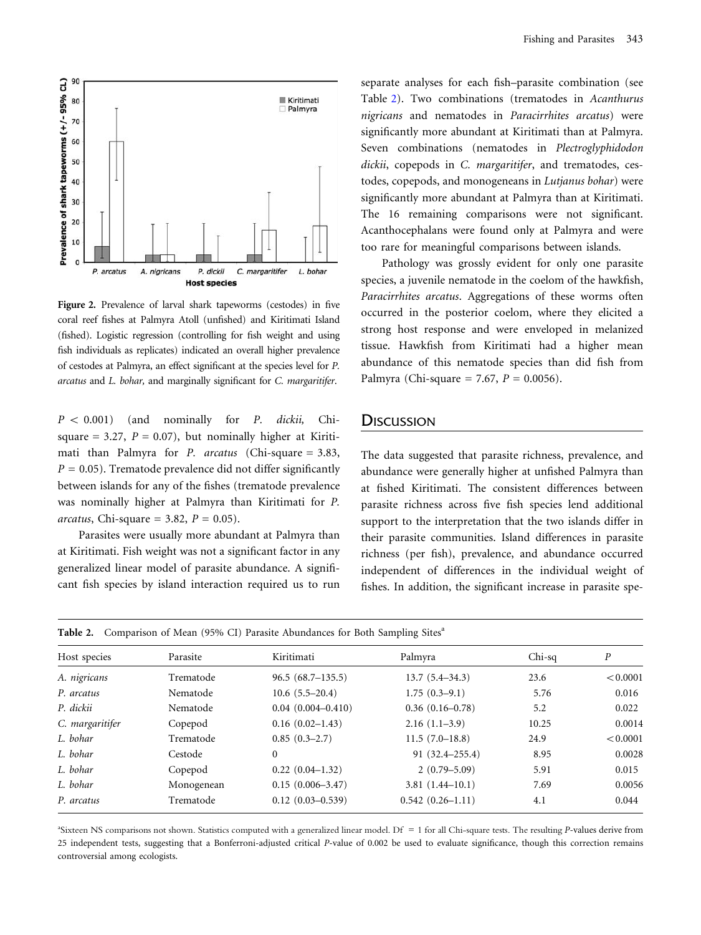<span id="page-5-0"></span>

Figure 2. Prevalence of larval shark tapeworms (cestodes) in five coral reef fishes at Palmyra Atoll (unfished) and Kiritimati Island (fished). Logistic regression (controlling for fish weight and using fish individuals as replicates) indicated an overall higher prevalence of cestodes at Palmyra, an effect significant at the species level for P. arcatus and L. bohar, and marginally significant for C. margaritifer.

 $P < 0.001$ ) (and nominally for P. dickii, Chisquare = 3.27,  $P = 0.07$ , but nominally higher at Kiritimati than Palmyra for *P. arcatus* (Chi-square  $= 3.83$ ,  $P = 0.05$ ). Trematode prevalence did not differ significantly between islands for any of the fishes (trematode prevalence was nominally higher at Palmyra than Kiritimati for P. arcatus, Chi-square = 3.82,  $P = 0.05$ ).

Parasites were usually more abundant at Palmyra than at Kiritimati. Fish weight was not a significant factor in any generalized linear model of parasite abundance. A significant fish species by island interaction required us to run

separate analyses for each fish–parasite combination (see Table 2). Two combinations (trematodes in Acanthurus nigricans and nematodes in Paracirrhites arcatus) were significantly more abundant at Kiritimati than at Palmyra. Seven combinations (nematodes in Plectroglyphidodon dickii, copepods in C. margaritifer, and trematodes, cestodes, copepods, and monogeneans in Lutjanus bohar) were significantly more abundant at Palmyra than at Kiritimati. The 16 remaining comparisons were not significant. Acanthocephalans were found only at Palmyra and were too rare for meaningful comparisons between islands.

Pathology was grossly evident for only one parasite species, a juvenile nematode in the coelom of the hawkfish, Paracirrhites arcatus. Aggregations of these worms often occurred in the posterior coelom, where they elicited a strong host response and were enveloped in melanized tissue. Hawkfish from Kiritimati had a higher mean abundance of this nematode species than did fish from Palmyra (Chi-square = 7.67,  $P = 0.0056$ ).

#### **DISCUSSION**

The data suggested that parasite richness, prevalence, and abundance were generally higher at unfished Palmyra than at fished Kiritimati. The consistent differences between parasite richness across five fish species lend additional support to the interpretation that the two islands differ in their parasite communities. Island differences in parasite richness (per fish), prevalence, and abundance occurred independent of differences in the individual weight of fishes. In addition, the significant increase in parasite spe-

| Table 2. Comparison of Mean (95% CI) Parasite Abundances for Both Sampling Sites <sup>a</sup> |            |                       |                     |        |                  |  |  |
|-----------------------------------------------------------------------------------------------|------------|-----------------------|---------------------|--------|------------------|--|--|
| Host species                                                                                  | Parasite   | Kiritimati            | Palmyra             | Chi-sq | $\boldsymbol{P}$ |  |  |
| A. nigricans                                                                                  | Trematode  | $96.5(68.7-135.5)$    | $13.7(5.4-34.3)$    | 23.6   | < 0.0001         |  |  |
| P. arcatus                                                                                    | Nematode   | $10.6(5.5-20.4)$      | $1.75(0.3-9.1)$     | 5.76   | 0.016            |  |  |
| P. dickii                                                                                     | Nematode   | $0.04(0.004 - 0.410)$ | $0.36(0.16-0.78)$   | 5.2    | 0.022            |  |  |
| C. margaritifer                                                                               | Copepod    | $0.16(0.02-1.43)$     | $2.16(1.1-3.9)$     | 10.25  | 0.0014           |  |  |
| L. bohar                                                                                      | Trematode  | $0.85(0.3-2.7)$       | $11.5(7.0-18.8)$    | 24.9   | < 0.0001         |  |  |
| L. bohar                                                                                      | Cestode    | $\Omega$              | 91 (32.4–255.4)     | 8.95   | 0.0028           |  |  |
| L. bohar                                                                                      | Copepod    | $0.22(0.04-1.32)$     | $2(0.79 - 5.09)$    | 5.91   | 0.015            |  |  |
| L. bohar                                                                                      | Monogenean | $0.15(0.006 - 3.47)$  | $3.81(1.44 - 10.1)$ | 7.69   | 0.0056           |  |  |
| P. arcatus                                                                                    | Trematode  | $0.12(0.03 - 0.539)$  | $0.542(0.26-1.11)$  | 4.1    | 0.044            |  |  |

 $a<sup>a</sup> Sixteen NS comparisons not shown. Statistics computed with a generalized linear model. Df = 1 for all Chi-square tests. The resulting *P*-values derive from$ 25 independent tests, suggesting that a Bonferroni-adjusted critical P-value of 0.002 be used to evaluate significance, though this correction remains controversial among ecologists.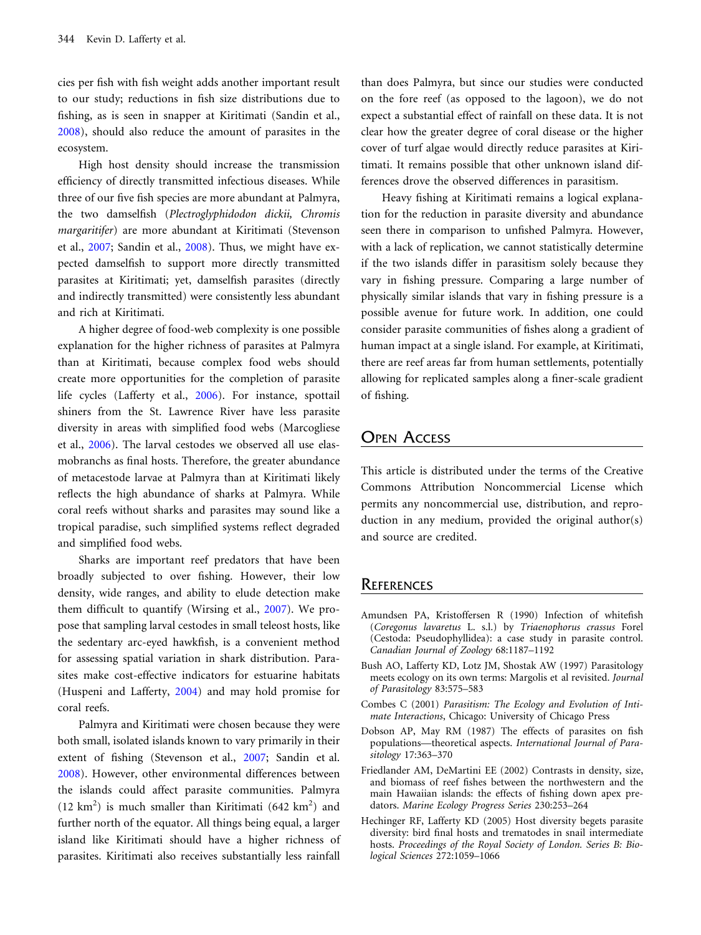<span id="page-6-0"></span>cies per fish with fish weight adds another important result to our study; reductions in fish size distributions due to fishing, as is seen in snapper at Kiritimati (Sandin et al., [2008](#page-7-0)), should also reduce the amount of parasites in the ecosystem.

High host density should increase the transmission efficiency of directly transmitted infectious diseases. While three of our five fish species are more abundant at Palmyra, the two damselfish (Plectroglyphidodon dickii, Chromis margaritifer) are more abundant at Kiritimati (Stevenson et al., [2007;](#page-7-0) Sandin et al., [2008\)](#page-7-0). Thus, we might have expected damselfish to support more directly transmitted parasites at Kiritimati; yet, damselfish parasites (directly and indirectly transmitted) were consistently less abundant and rich at Kiritimati.

A higher degree of food-web complexity is one possible explanation for the higher richness of parasites at Palmyra than at Kiritimati, because complex food webs should create more opportunities for the completion of parasite life cycles (Lafferty et al., [2006\)](#page-7-0). For instance, spottail shiners from the St. Lawrence River have less parasite diversity in areas with simplified food webs (Marcogliese et al., [2006](#page-7-0)). The larval cestodes we observed all use elasmobranchs as final hosts. Therefore, the greater abundance of metacestode larvae at Palmyra than at Kiritimati likely reflects the high abundance of sharks at Palmyra. While coral reefs without sharks and parasites may sound like a tropical paradise, such simplified systems reflect degraded and simplified food webs.

Sharks are important reef predators that have been broadly subjected to over fishing. However, their low density, wide ranges, and ability to elude detection make them difficult to quantify (Wirsing et al., [2007\)](#page-7-0). We propose that sampling larval cestodes in small teleost hosts, like the sedentary arc-eyed hawkfish, is a convenient method for assessing spatial variation in shark distribution. Parasites make cost-effective indicators for estuarine habitats (Huspeni and Lafferty, [2004](#page-7-0)) and may hold promise for coral reefs.

Palmyra and Kiritimati were chosen because they were both small, isolated islands known to vary primarily in their extent of fishing (Stevenson et al., [2007](#page-7-0); Sandin et al. [2008](#page-7-0)). However, other environmental differences between the islands could affect parasite communities. Palmyra  $(12 \text{ km}^2)$  is much smaller than Kiritimati  $(642 \text{ km}^2)$  and further north of the equator. All things being equal, a larger island like Kiritimati should have a higher richness of parasites. Kiritimati also receives substantially less rainfall than does Palmyra, but since our studies were conducted on the fore reef (as opposed to the lagoon), we do not expect a substantial effect of rainfall on these data. It is not clear how the greater degree of coral disease or the higher cover of turf algae would directly reduce parasites at Kiritimati. It remains possible that other unknown island differences drove the observed differences in parasitism.

Heavy fishing at Kiritimati remains a logical explanation for the reduction in parasite diversity and abundance seen there in comparison to unfished Palmyra. However, with a lack of replication, we cannot statistically determine if the two islands differ in parasitism solely because they vary in fishing pressure. Comparing a large number of physically similar islands that vary in fishing pressure is a possible avenue for future work. In addition, one could consider parasite communities of fishes along a gradient of human impact at a single island. For example, at Kiritimati, there are reef areas far from human settlements, potentially allowing for replicated samples along a finer-scale gradient of fishing.

## OPEN ACCESS

This article is distributed under the terms of the Creative Commons Attribution Noncommercial License which permits any noncommercial use, distribution, and reproduction in any medium, provided the original author(s) and source are credited.

### **REFERENCES**

- Amundsen PA, Kristoffersen R (1990) Infection of whitefish (Coregonus lavaretus L. s.l.) by Triaenophorus crassus Forel (Cestoda: Pseudophyllidea): a case study in parasite control. Canadian Journal of Zoology 68:1187–1192
- Bush AO, Lafferty KD, Lotz JM, Shostak AW (1997) Parasitology meets ecology on its own terms: Margolis et al revisited. Journal of Parasitology 83:575–583
- Combes C (2001) Parasitism: The Ecology and Evolution of Intimate Interactions, Chicago: University of Chicago Press
- Dobson AP, May RM (1987) The effects of parasites on fish populations—theoretical aspects. International Journal of Parasitology 17:363–370
- Friedlander AM, DeMartini EE (2002) Contrasts in density, size, and biomass of reef fishes between the northwestern and the main Hawaiian islands: the effects of fishing down apex predators. Marine Ecology Progress Series 230:253–264
- Hechinger RF, Lafferty KD (2005) Host diversity begets parasite diversity: bird final hosts and trematodes in snail intermediate hosts. Proceedings of the Royal Society of London. Series B: Biological Sciences 272:1059–1066